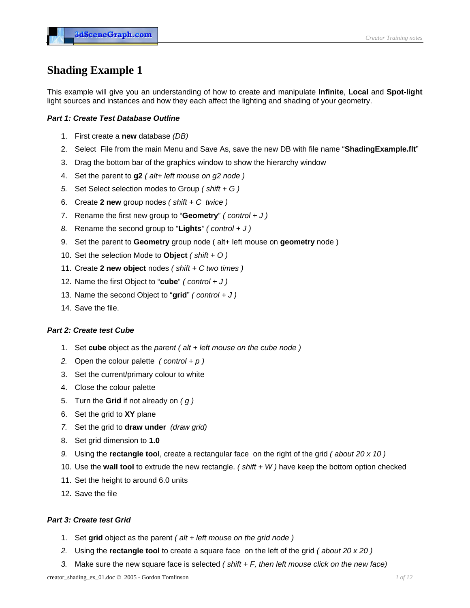# **Shading Example 1**

This example will give you an understanding of how to create and manipulate **Infinite**, **Local** and **Spot-light** light sources and instances and how they each affect the lighting and shading of your geometry.

# *Part 1: Create Test Database Outline*

- 1. First create a **new** database *(DB)*
- 2. Select File from the main Menu and Save As, save the new DB with file name "**ShadingExample.flt**"
- 3. Drag the bottom bar of the graphics window to show the hierarchy window
- 4. Set the parent to **g2** *( alt+ left mouse on g2 node )*
- *5.* Set Select selection modes to Group *( shift + G )*
- 6. Create **2 new** group nodes *( shift + C twice )*
- 7. Rename the first new group to "**Geometry**" *( control + J )*
- *8.* Rename the second group to "**Lights***" ( control + J )*
- 9. Set the parent to **Geometry** group node ( alt+ left mouse on **geometry** node )
- 10. Set the selection Mode to **Object** *( shift + O )*
- 11. Create **2 new object** nodes *( shift + C two times )*
- 12. Name the first Object to "**cube**" *( control + J )*
- 13. Name the second Object to "**grid**" *( control + J )*
- 14. Save the file.

#### *Part 2: Create test Cube*

- 1. Set **cube** object as the *parent ( alt + left mouse on the cube node )*
- *2.* Open the colour palette *( control + p )*
- 3. Set the current/primary colour to white
- 4. Close the colour palette
- 5. Turn the **Grid** if not already on *( g )*
- 6. Set the grid to **XY** plane
- *7.* Set the grid to **draw under** *(draw grid)*
- 8. Set grid dimension to **1.0**
- *9.* Using the **rectangle tool**, create a rectangular face on the right of the grid *( about 20 x 10 )*
- 10. Use the **wall tool** to extrude the new rectangle. *( shift + W )* have keep the bottom option checked
- 11. Set the height to around 6.0 units
- 12. Save the file

### *Part 3: Create test Grid*

- 1. Set **grid** object as the parent *( alt + left mouse on the grid node )*
- *2.* Using the **rectangle tool** to create a square face on the left of the grid *( about 20 x 20 )*
- *3.* Make sure the new square face is selected *( shift + F, then left mouse click on the new face)*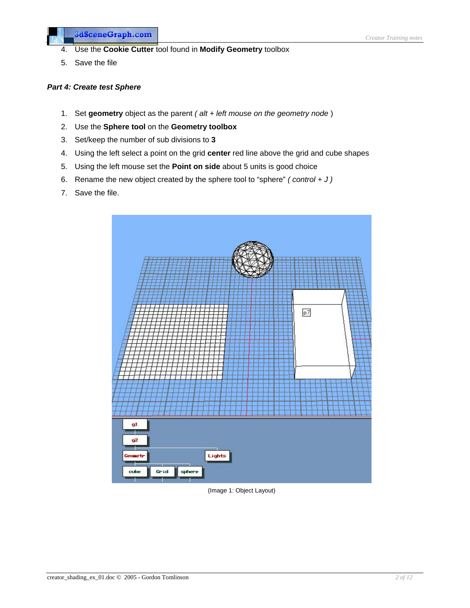- 4. Use the **Cookie Cutter** tool found in **Modify Geometry** toolbox
- 5. Save the file

### *Part 4: Create test Sphere*

3dSceneGraph.com

- 1. Set **geometry** object as the parent *( alt + left mouse on the geometry node* )
- 2. Use the **Sphere tool** on the **Geometry toolbox**
- 3. Set/keep the number of sub divisions to **3**
- 4. Using the left select a point on the grid **center** red line above the grid and cube shapes
- 5. Using the left mouse set the **Point on side** about 5 units is good choice
- 6. Rename the new object created by the sphere tool to "sphere" *( control + J )*
- 7. Save the file.



(Image 1: Object Layout)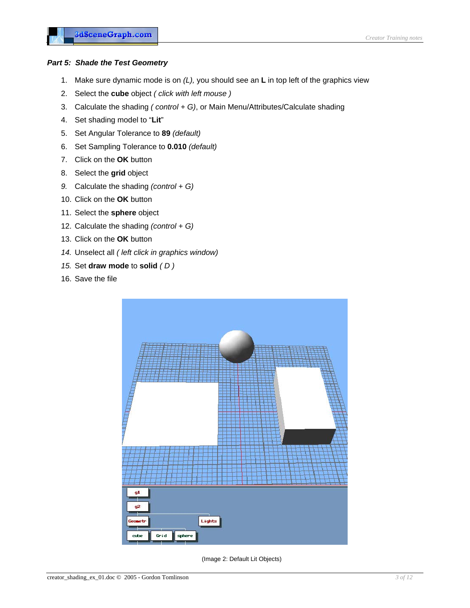### *Part 5: Shade the Test Geometry*

- 1. Make sure dynamic mode is on *(L),* you should see an **L** in top left of the graphics view
- 2. Select the **cube** object *( click with left mouse )*
- 3. Calculate the shading *( control + G)*, or Main Menu/Attributes/Calculate shading
- 4. Set shading model to "**Lit**"
- 5. Set Angular Tolerance to **89** *(default)*
- 6. Set Sampling Tolerance to **0.010** *(default)*
- 7. Click on the **OK** button
- 8. Select the **grid** object
- *9.* Calculate the shading *(control + G)*
- 10. Click on the **OK** button
- 11. Select the **sphere** object
- 12. Calculate the shading *(control + G)*
- 13. Click on the **OK** button
- *14.* Unselect all *( left click in graphics window)*
- *15.* Set **draw mode** to **solid** *( D )*
- 16. Save the file



(Image 2: Default Lit Objects)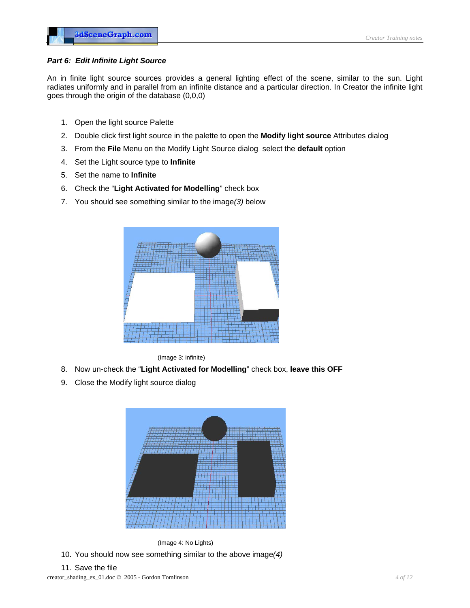### *Part 6: Edit Infinite Light Source*

An in finite light source sources provides a general lighting effect of the scene, similar to the sun. Light radiates uniformly and in parallel from an infinite distance and a particular direction. In Creator the infinite light goes through the origin of the database (0,0,0)

- 1. Open the light source Palette
- 2. Double click first light source in the palette to open the **Modify light source** Attributes dialog
- 3. From the **File** Menu on the Modify Light Source dialog select the **default** option
- 4. Set the Light source type to **Infinite**
- 5. Set the name to **Infinite**
- 6. Check the "**Light Activated for Modelling**" check box
- 7. You should see something similar to the image*(3)* below



(Image 3: infinite)

- 8. Now un-check the "**Light Activated for Modelling**" check box, **leave this OFF**
- 9. Close the Modify light source dialog



(Image 4: No Lights) 10. You should now see something similar to the above image*(4)*

11. Save the file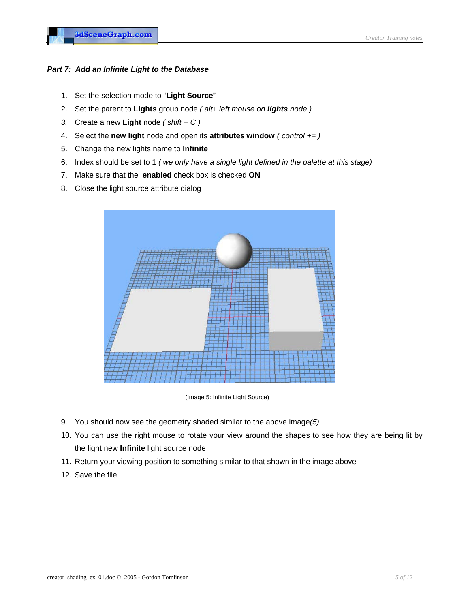# Part 7: Add an Infinite Light to the Database

- 1. Set the selection mode to "**Light Source**"
- 2. Set the parent to Lights group node *( alt+ left mouse on lights node )*
- *3.* Create a new **Light** node *( shift + C )*
- **4.** Select the **new light** node and open its **attributes window** (*control* += )
- 5. Change the new lights name to **Infinite**
- 6. Index should be set to 1 *( we only have a single light defined in the palette at this stage)*
- 7. Make sure that the **enabled** check box is checked **ON**
- 8. Close the light source attribute dialog



(Image 5: Infinite Light Source)

- 9. You should now see the geometry shaded similar to the above image*(5)*
- 10. You can use the right mouse to rotate your view around the shapes to see how they are being lit by the light new **Infinite** light source node
- 11. Return your viewing position to something similar to that shown in the image above
- 12. Save the file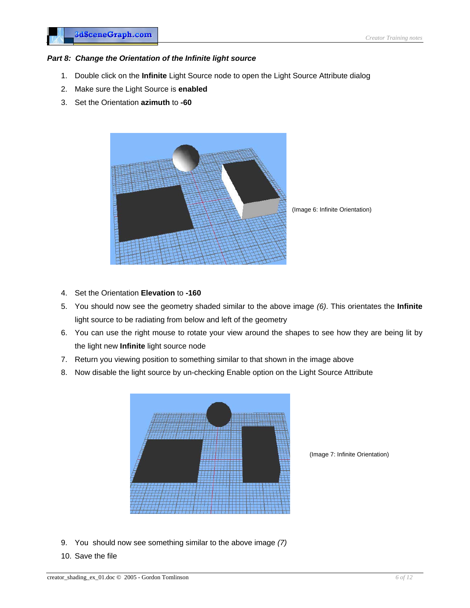### *Part 8: Change the Orientation of the Infinite light source*

- 1. Double click on the **Infinite** Light Source node to open the Light Source Attribute dialog
- 2. Make sure the Light Source is **enabled**
- 3. Set the Orientation **azimuth** to **-60**



(Image 6: Infinite Orientation)

- 4. Set the Orientation **Elevation** to **-160**
- 5. You should now see the geometry shaded similar to the above image *(6)*. This orientates the **Infinite** light source to be radiating from below and left of the geometry
- 6. You can use the right mouse to rotate your view around the shapes to see how they are being lit by the light new **Infinite** light source node
- 7. Return you viewing position to something similar to that shown in the image above
- 8. Now disable the light source by un-checking Enable option on the Light Source Attribute



(Image 7: Infinite Orientation)

- 9. You should now see something similar to the above image *(7)*
- 10. Save the file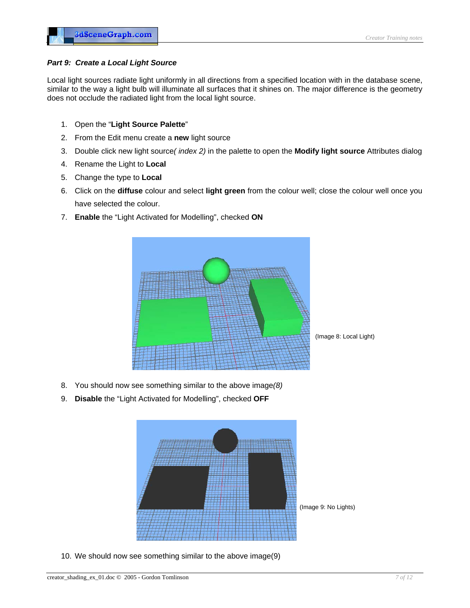### *Part 9: Create a Local Light Source*

Local light sources radiate light uniformly in all directions from a specified location with in the database scene, similar to the way a light bulb will illuminate all surfaces that it shines on. The major difference is the geometry does not occlude the radiated light from the local light source.

- 1. Open the "**Light Source Palette**"
- 2. From the Edit menu create a **new** light source
- 3. Double click new light source*( index 2)* in the palette to open the **Modify light source** Attributes dialog
- 4. Rename the Light to **Local**
- 5. Change the type to **Local**
- 6. Click on the **diffuse** colour and select **light green** from the colour well; close the colour well once you have selected the colour.
- 7. **Enable** the "Light Activated for Modelling", checked **ON**



- 8. You should now see something similar to the above image(8)
- 9. **Disable** the "Light Activated for Modelling", checked **OFF**



10. We should now see something similar to the above image(9)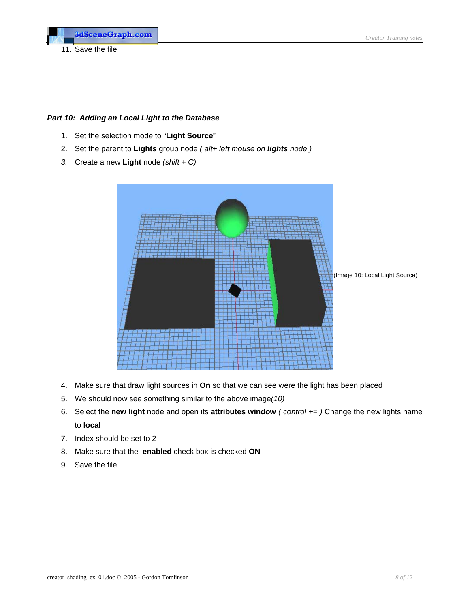11. Save the file

### *Part 10 : Adding an Local Light to the Database*

- 1. Set the selection mode to "**Light Source**"
- 2. Set the paren t to **Lights** group node *( alt+ left mouse on lights node )*
- *3.* Create a ne w **Light** node *(shift + C)*



- 4. Make sure that draw light sources in **On** so that we can see were the light has been placed
- 5. We should now see something similar to the above image(10)
- 6. Select the **new light** node and open its **attributes window** (*control*  $+=$  ) Change the new lights name to **local**
- 7. Index should be set to 2
- 8. Make sure that the **enabled** check box is checked **ON**
- 9. Save the file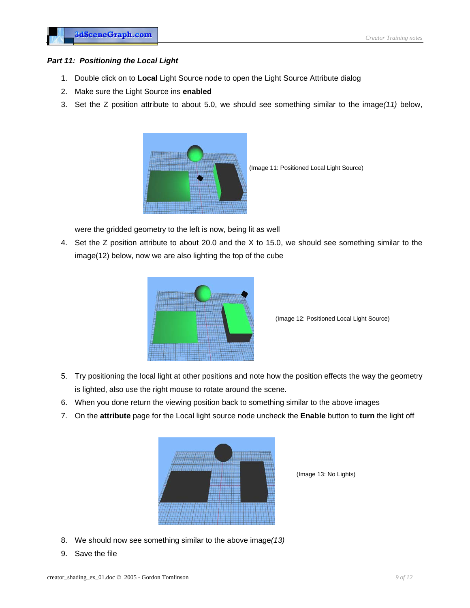#### *Par t 11: Positioning the Local Light*

- 1. Double click on to **Local** Light Source node to open the Light Source Attribute dialog
- 2. Make sure th e Light Source ins **enabled**
- 3. Set the Z position attribute to about 5.0, we should see something similar to the image(11) below,



(Image 11: Positioned Local Light Source)

were the gridded geometry to the left is now, being lit as well

4. Set the Z position attribute to about 20.0 and the X to 15.0, we should see something similar to the image(12) below, now we are also lighting the top of the cube



(Image 12: Positioned Local Light Source)

- is lighted, also use the right mouse to rotate around the scene. 5. Try positioning the local light at other positions and note how the position effects the way the geometry
- 6. When you done return the viewing position back to something similar to the above images
- 7. On the **attribute** page for the Local light source node uncheck the **Enable** button to turn the light off



(Image 13: No Lights)

- 8. We should now see something similar to the above image*(13)*
- 9. Save the file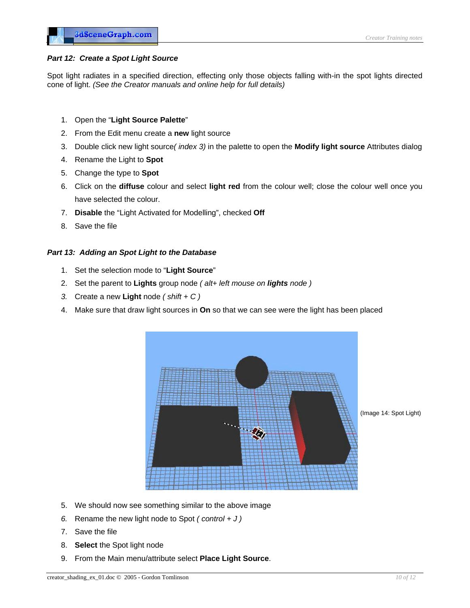### *Part 12: Create a Spot Light Source*

Spot light radiates in a specified direction, effecting only those objects falling with-in the spot lights directed one of light. *(See the Creator manuals and online help for full details)* c

- 1. Open the "**Light Source Palette**"
- 2. From the Edit menu create a new light source
- 3. Double click new light source(*index 3)* in the palette to open the **Modify light source** Attributes dialog
- 4. Rename the Light to **Spot**
- 5. Change the type to **Spot**
- 6. Click on the **diffuse** colour and select **light red** from the colour well; close the colour well once you have selected the colour.
- . **Disable** the "Light Activated for Modelling", checked **Off** 7
- 8. Save the file

#### *Part 13 : Adding an Spot Light to the Database*

- 1. Set the selection mode to "**Light Source**"
- 2. Set the parent to **Lights** group node *( alt+ left mouse on lights node )*
- *3.* Create a new **Light** node *( shift + C )*
- 4. Make sure that draw light sources in **On** so that we can see were the light has been placed



(Image 14: Spot Light)

- 5. We should now see something similar to the above image
- 6. Rename the new light node to Spot  $(control + J)$
- 7. Save the file
- 8. **Select** the Spot light node
- 9. From the Main menu/attribute select **Place Light Source**.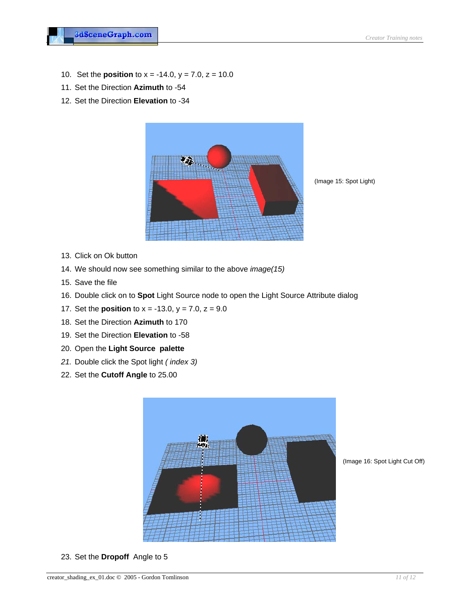- 10. Set the **position** to  $x = -14.0$ ,  $y = 7.0$ ,  $z = 10.0$
- 11. Set the Direction **Azimuth** to -54
- 12. Set the Direction **Ele vation** to -34



(Image 15: Spot Light)

- 13. Click on Ok button
- 14. We should now see something similar to the above *image(15)*
- 15. Save the file
- 16. Double click on to **Spot** Light Source node to open the Light Source Attribute dialog
- 17. Set the **position** to  $x = -13.0$ ,  $y = 7.0$ ,  $z = 9.0$
- 18. Set the Direction **Azimuth** to 170
- 19. Set the Direction **Elevation** to -58
- 20. Open the **Light Source palette**
- *x 3) 21.* Double click the Spot light *( inde*
- 22. Set the **Cutoff Angle** to 25.00



(Image 16: Spot Light Cut Off)

23. Set the **Dropoff** Angle to 5